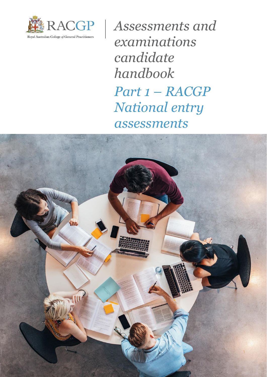

*Assessments and examinations candidate handbook Part 1 – RACGP National entry assessments*

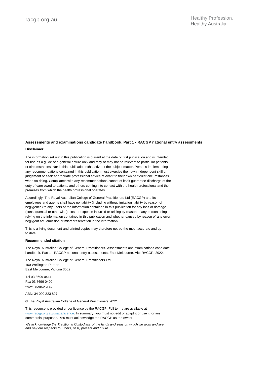#### **Assessments and examinations candidate handbook, Part 1 - RACGP national entry assessments Disclaimer**

The information set out in this publication is current at the date of first publication and is intended for use as a guide of a general nature only and may or may not be relevant to particular patients or circumstances. Nor is this publication exhaustive of the subject matter. Persons implementing any recommendations contained in this publication must exercise their own independent skill or judgement or seek appropriate professional advice relevant to their own particular circumstances when so doing. Compliance with any recommendations cannot of itself guarantee discharge of the duty of care owed to patients and others coming into contact with the health professional and the premises from which the health professional operates.

Accordingly, The Royal Australian College of General Practitioners Ltd (RACGP) and its employees and agents shall have no liability (including without limitation liability by reason of negligence) to any users of the information contained in this publication for any loss or damage (consequential or otherwise), cost or expense incurred or arising by reason of any person using or relying on the information contained in this publication and whether caused by reason of any error, negligent act, omission or misrepresentation in the information.

This is a living document and printed copies may therefore not be the most accurate and up to date.

#### **Recommended citation**

The Royal Australian College of General Practitioners. Assessments and examinations candidate handbook, Part 1 - RACGP national entry assessments. East Melbourne, Vic: RACGP, 2022.

The Royal Australian College of General Practitioners Ltd 100 Wellington Parade East Melbourne, Victoria 3002

Tel 03 8699 0414 Fax 03 8699 0400 www.racgp.org.au

ABN: 34 000 223 807

© The Royal Australian College of General Practitioners 2022

This resource is provided under licence by the RACGP. Full terms are available at www.racgp.org.au/usage/licence. In summary, you must not edit or adapt it or use it for any commercial purposes. You must acknowledge the RACGP as the owner.

*We acknowledge the Traditional Custodians of the lands and seas on which we work and live, and pay our respects to Elders, past, present and future.*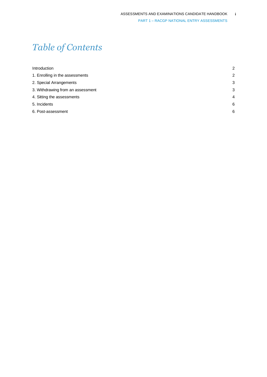# *Table of Contents*

| $\overline{2}$ |
|----------------|
| $\overline{2}$ |
| 3              |
| 3              |
| $\overline{4}$ |
| 6              |
| 6              |
|                |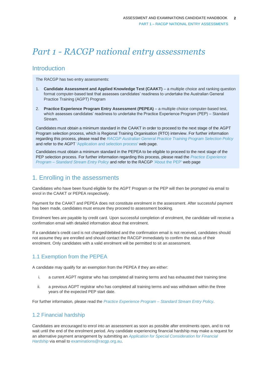## *Part 1 - RACGP national entry assessments*

## <span id="page-3-0"></span>Introduction

The RACGP has two entry assessments:

- 1. **Candidate Assessment and Applied Knowledge Test (CAAKT)** a multiple choice and ranking question format computer-based test that assesses candidates' readiness to undertake the Australian General Practice Training (AGPT) Program
- 2. **Practice Experience Program Entry Assessment (PEPEA)** a multiple choice computer-based test, which assesses candidates' readiness to undertake the Practice Experience Program (PEP) – Standard Stream.

Candidates must obtain a minimum standard in the CAAKT in order to proceed to the next stage of the AGPT Program selection process, which is Regional Training Organisation (RTO) interview. For further information regarding this process, please read the *[RACGP Australian General Practice Training Program Selection Policy](https://www.racgp.org.au/education/registrars/fellowship-pathways/policy-framework/policies/racgp-selection-for-entry-into-agpt)* and refer to the AGPT 'Application and selection process' web page.

Candidates must obtain a minimum standard in the PEPEA to be eligible to proceed to the next stage of the PEP selection process. For further information regarding this process, please read the *[Practice Experience](https://www.racgp.org.au/education/registrars/fellowship-pathways/policy-framework/policies/practice-experience-program-entry)  Program – [Standard Stream Entry Policy](https://www.racgp.org.au/education/registrars/fellowship-pathways/policy-framework/policies/practice-experience-program-entry)* and refer to the RACGP ['About the PEP'](https://www.racgp.org.au/education/imgs/fellowship-pathways/fellowship-programs-for-imgs/practice-experience-program/practice-experience-program-standard-stream/about-the-pep) web page

## <span id="page-3-1"></span>1. Enrolling in the assessments

Candidates who have been found eligible for the AGPT Program or the PEP will then be prompted via email to enrol in the CAAKT or PEPEA respectively.

Payment for the CAAKT and PEPEA does not constitute enrolment in the assessment. After successful payment has been made, candidates must ensure they proceed to assessment booking.

Enrolment fees are payable by credit card. Upon successful completion of enrolment, the candidate will receive a confirmation email with detailed information about that enrolment.

If a candidate's credit card is not charged/debited and the confirmation email is not received, candidates should not assume they are enrolled and should contact the RACGP immediately to confirm the status of their enrolment. Only candidates with a valid enrolment will be permitted to sit an assessment.

## 1.1 Exemption from the PEPEA

A candidate may qualify for an exemption from the PEPEA if they are either:

- i. a current AGPT registrar who has completed all training terms and has exhausted their training time
- ii. a previous AGPT registrar who has completed all training terms and was withdrawn within the three years of the expected PEP start date.

For further information, please read the *[Practice Experience Program –](https://www.racgp.org.au/education/registrars/fellowship-pathways/policy-framework/policies/practice-experience-program-entry) Standard Stream Entry Policy.*

### 1.2 Financial hardship

Candidates are encouraged to enrol into an assessment as soon as possible after enrolments open, and to not wait until the end of the enrolment period. Any candidate experiencing financial hardship may make a request for an alternative payment arrangement by submitting an *[Application for Special Consideration for Financial](https://www.racgp.org.au/FSDEDEV/media/documents/Education/IMGs/PEP-Application-for-Special-Consideration.pdf)  [Hardship](https://www.racgp.org.au/FSDEDEV/media/documents/Education/IMGs/PEP-Application-for-Special-Consideration.pdf)* via email t[o examinations@racgp.org.au.](mailto:pathways@racgp.org.au)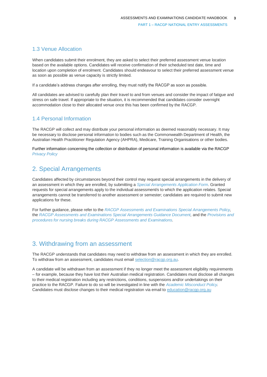#### 1.3 Venue Allocation

When candidates submit their enrolment, they are asked to select their preferred assessment venue location based on the available options. Candidates will receive confirmation of their scheduled test date, time and location upon completion of enrolment. Candidates should endeavour to select their preferred assessment venue as soon as possible as venue capacity is strictly limited.

If a candidate's address changes after enrolling, they must notify the RACGP as soon as possible.

All candidates are advised to carefully plan their travel to and from venues and consider the impact of fatigue and stress on safe travel. If appropriate to the situation, it is recommended that candidates consider overnight accommodation close to their allocated venue once this has been confirmed by the RACGP.

#### 1.4 Personal Information

The RACGP will collect and may distribute your personal information as deemed reasonably necessary. It may be necessary to disclose personal information to bodies such as the Commonwealth Department of Health, the Australian Health Practitioner Regulation Agency (AHPRA), Medicare, Training Organisations or other bodies.

Further information concerning the collection or distribution of personal information is available via the RACGP *[Privacy Policy](https://www.racgp.org.au/privacy-policy)*

## <span id="page-4-0"></span>2. Special Arrangements

Candidates affected by circumstances beyond their control may request special arrangements in the delivery of an assessment in which they are enrolled, by submitting a *[Special Arrangements Application Form](https://www.racgp.org.au/FSDEDEV/media/documents/RACGP/Policies/Fellowship/Fellowship%20forms/Special-Arrangements-Application-Form.pdf)*. Granted requests for special arrangements apply to the individual assessment/s to which the application relates. Special arrangements cannot be transferred to another assessment or semester; candidates are required to submit new applications for these.

For further guidance, please refer to the *[RACGP Assessments and Examinations Special Arrangements Policy,](https://www.racgp.org.au/education/registrars/fellowship-pathways/policy-framework/policies/special-arrangements)*  the *[RACGP Assessments and Examinations Special Arrangements Guidance Document,](https://www.racgp.org.au/education/registrars/fellowship-pathways/policy-framework/guidance-documents/racgp-examinations-special-arrangements)* and the *[Provisions and](https://www.racgp.org.au/education/registrars/fellowship-pathways/policy-framework/guidance-documents/provisions-and-procedures-for-nursing)  [procedures for nursing breaks during RACGP Assessments and Examinations.](https://www.racgp.org.au/education/registrars/fellowship-pathways/policy-framework/guidance-documents/provisions-and-procedures-for-nursing)*

## <span id="page-4-1"></span>3. Withdrawing from an assessment

The RACGP understands that candidates may need to withdraw from an assessment in which they are enrolled. To withdraw from an assessment, candidates must email [selection@racgp.org.au.](mailto:selection@racgp.org.au)

A candidate will be withdrawn from an assessment if they no longer meet the assessment eligibility requirements – for example, because they have lost their Australian medical registration. Candidates must disclose all changes to their medical registration including any restrictions, conditions, suspensions and/or undertakings on their practice to the RACGP. Failure to do so will be investigated in line with the *[Academic Misconduct Policy.](https://www.racgp.org.au/education/registrars/fellowship-pathways/policy-framework/policies/educational-misconduct)* Candidates must disclose changes to their medical registration via email to [education@racgp.org.au](file:///C:/Users/Isla.Mapleson/AppData/Local/Hewlett-Packard/HP%20TRIM/TEMP/HPTRIM.21464/education@racgp.org.au)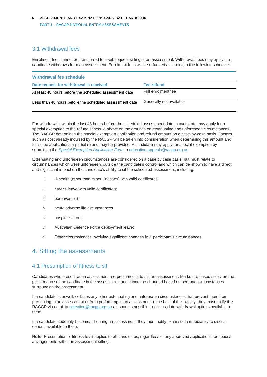### 3.1 Withdrawal fees

Enrolment fees cannot be transferred to a subsequent sitting of an assessment. Withdrawal fees may apply if a candidate withdraws from an assessment. Enrolment fees will be refunded according to the following schedule:

| Withdrawal fee schedule                                 |                         |
|---------------------------------------------------------|-------------------------|
| Date request for withdrawal is received                 | Fee refund              |
| At least 48 hours before the scheduled assessment date  | Full enrolment fee      |
| Less than 48 hours before the scheduled assessment date | Generally not available |

For withdrawals within the last 48 hours before the scheduled assessment date, a candidate may apply for a special exemption to the refund schedule above on the grounds on extenuating and unforeseen circumstances. The RACGP determines the special exemption application and refund amount on a case-by-case basis. Factors such as cost already incurred by the RACGP will be taken into consideration when determining this amount and for some applications a partial refund may be provided. A candidate may apply for special exemption by submitting the *[Special Exemption Application Form](https://www.racgp.org.au/FSDEDEV/media/documents/RACGP/Policies/Fellowship/Fellowship%20forms/special-exemption-application-form.pdf)* t[o education.appeals@racgp.org.au.](mailto:education.appeals@racgp.org.au)

Extenuating and unforeseen circumstances are considered on a case by case basis, but must relate to circumstances which were unforeseen, outside the candidate's control and which can be shown to have a direct and significant impact on the candidate's ability to sit the scheduled assessment, including:

- i. ill-health (other than minor illnesses) with valid certificates:
- ii. carer's leave with valid certificates;
- iii. bereavement;
- iv. acute adverse life circumstances
- v. hospitalisation;
- vi. Australian Defence Force deployment leave;
- vii. Other circumstances involving significant changes to a participant's circumstances.

## <span id="page-5-0"></span>4. Sitting the assessments

#### 4.1 Presumption of fitness to sit

Candidates who present at an assessment are presumed fit to sit the assessment. Marks are based solely on the performance of the candidate in the assessment, and cannot be changed based on personal circumstances surrounding the assessment.

If a candidate is unwell, or faces any other extenuating and unforeseen circumstances that prevent them from presenting to an assessment or from performing in an assessment to the best of their ability, they must notify the RACGP via email t[o selection@racgp.org.au](mailto:selection@racgp.org.au) as soon as possible to discuss late withdrawal options available to them.

If a candidate suddenly becomes ill during an assessment, they must notify exam staff immediately to discuss options available to them.

**Note:** Presumption of fitness to sit applies to **all** candidates, regardless of any approved applications for special arrangements within an assessment sitting.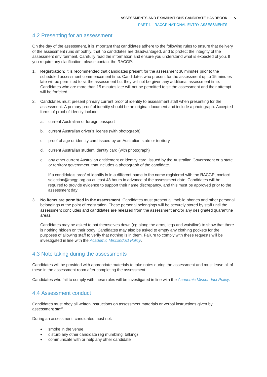#### 4.2 Presenting for an assessment

On the day of the assessment, it is important that candidates adhere to the following rules to ensure that delivery of the assessment runs smoothly, that no candidates are disadvantaged, and to protect the integrity of the assessment environment. Carefully read the information and ensure you understand what is expected of you. If you require any clarification, please contact the RACGP.

- 1. **Registration:** It is recommended that candidates present for the assessment 30 minutes prior to the scheduled assessment commencement time. Candidates who present for the assessment up to 15 minutes late will be permitted to sit the assessment but they will not be given any additional assessment time. Candidates who are more than 15 minutes late will not be permitted to sit the assessment and their attempt will be forfeited.
- 2. Candidates must present primary current proof of identity to assessment staff when presenting for the assessment. A primary proof of identity should be an original document and include a photograph. Accepted forms of proof of identity include:
	- a. current Australian or foreign passport
	- b. current Australian driver's license (with photograph)
	- c. proof of age or identity card issued by an Australian state or territory
	- d. current Australian student identity card (with photograph)
	- e. any other current Australian entitlement or identity card, issued by the Australian Government or a state or territory government, that includes a photograph of the candidate.

If a candidate's proof of identity is in a different name to the name registered with the RACGP, contact selection@racgp.org.au at least 48 hours in advance of the assessment date. Candidates will be required to provide evidence to support their name discrepancy, and this must be approved prior to the assessment day.

3. **No items are permitted in the assessment**. Candidates must present all mobile phones and other personal belongings at the point of registration. These personal belongings will be securely stored by staff until the assessment concludes and candidates are released from the assessment and/or any designated quarantine areas.

Candidates may be asked to pat themselves down (eg along the arms, legs and waistline) to show that there is nothing hidden on their body. Candidates may also be asked to empty any clothing pockets for the purposes of allowing staff to verify that nothing is in them. Failure to comply with these requests will be investigated in line with the *[Academic Misconduct Policy](https://www.racgp.org.au/education/registrars/fellowship-pathways/policy-framework/policies/educational-misconduct)*.

#### 4.3 Note taking during the assessments

Candidates will be provided with appropriate materials to take notes during the assessment and must leave all of these in the assessment room after completing the assessment.

Candidates who fail to comply with these rules will be investigated in line with the *[Academic Misconduct Policy.](https://www.racgp.org.au/education/registrars/fellowship-pathways/policy-framework/policies/educational-misconduct)*

#### 4.4 Assessment conduct

Candidates must obey all written instructions on assessment materials or verbal instructions given by assessment staff.

During an assessment, candidates must not:

- smoke in the venue
- disturb any other candidate (eg mumbling, talking)
- communicate with or help any other candidate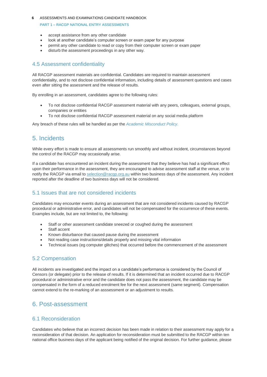#### ASSESSMENTS AND EXAMINATIONS CANDIDATE HANDBOOK **6**

#### PART 1 – RACGP NATIONAL ENTRY ASSESSMENTS

- accept assistance from any other candidate
- look at another candidate's computer screen or exam paper for any purpose
- permit any other candidate to read or copy from their computer screen or exam paper
- disturb the assessment proceedings in any other way.

#### 4.5 Assessment confidentiality

All RACGP assessment materials are confidential. Candidates are required to maintain assessment confidentiality, and to not disclose confidential information, including details of assessment questions and cases even after sitting the assessment and the release of results.

By enrolling in an assessment, candidates agree to the following rules:

- To not disclose confidential RACGP assessment material with any peers, colleagues, external groups, companies or entities
- To not disclose confidential RACGP assessment material on any social media platform

Any breach of these rules will be handled as per the *[Academic Misconduct Policy.](https://www.racgp.org.au/education/registrars/fellowship-pathways/policy-framework/policies/educational-misconduct)*

## <span id="page-7-0"></span>5. Incidents

While every effort is made to ensure all assessments run smoothly and without incident, circumstances beyond the control of the RACGP may occasionally arise.

If a candidate has encountered an incident during the assessment that they believe has had a significant effect upon their performance in the assessment, they are encouraged to advise assessment staff at the venue, or to notify the RACGP via email t[o selection@racgp.org.au](mailto:selection@racgp.org.au) within two business days of the assessment. Any incident reported after the deadline of two business days will not be considered.

### 5.1 Issues that are not considered incidents

Candidates may encounter events during an assessment that are not considered incidents caused by RACGP procedural or administrative error, and candidates will not be compensated for the occurrence of these events. Examples include, but are not limited to, the following:

- Staff or other assessment candidate sneezed or coughed during the assessment
- Staff accent
- Known disturbance that caused pause during the assessment
- Not reading case instructions/details properly and missing vital information
- Technical issues (eg computer glitches) that occurred before the commencement of the assessment

#### 5.2 Compensation

All incidents are investigated and the impact on a candidate's performance is considered by the Council of Censors (or delegate) prior to the release of results. If it is determined that an incident occurred due to RACGP procedural or administrative error and the candidate does not pass the assessment, the candidate may be compensated in the form of a reduced enrolment fee for the next assessment (same segment). Compensation cannot extend to the re-marking of an asssessment or an adjustment to results.

## <span id="page-7-1"></span>6. Post-assessment

#### 6.1 Reconsideration

Candidates who believe that an incorrect decision has been made in relation to their assessment may apply for a reconsideration of that decision. An application for reconsideration must be submitted to the RACGP within ten national office business days of the applicant being notified of the original decision. For further guidance, please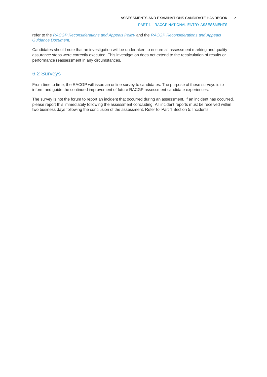PART 1 – RACGP NATIONAL ENTRY ASSESSMENTS

refer to the *[RACGP Reconsiderations and Appeals Policy](https://www.racgp.org.au/education/registrars/fellowship-pathways/policy-framework/policies/reconsiderations-and-appeals)* and the *[RACGP Reconsiderations and Appeals](https://www.racgp.org.au/education/registrars/fellowship-pathways/policy-framework/guidance-documents/reconsiderations-and-appeals)  [Guidance Document.](https://www.racgp.org.au/education/registrars/fellowship-pathways/policy-framework/guidance-documents/reconsiderations-and-appeals)*

Candidates should note that an investigation will be undertaken to ensure all assessment marking and quality assurance steps were correctly executed. This investigation does not extend to the recalculation of results or performance reassessment in any circumstances.

### 6.2 Surveys

From time to time, the RACGP will issue an online survey to candidates. The purpose of these surveys is to inform and guide the continued improvement of future RACGP assessment candidate experiences.

The survey is not the forum to report an incident that occurred during an assessment. If an incident has occurred, please report this immediately following the assessment concluding. All incident reports must be received within two business days following the conclusion of the assessment. Refer to 'Part 1 Section 5: Incidents'.